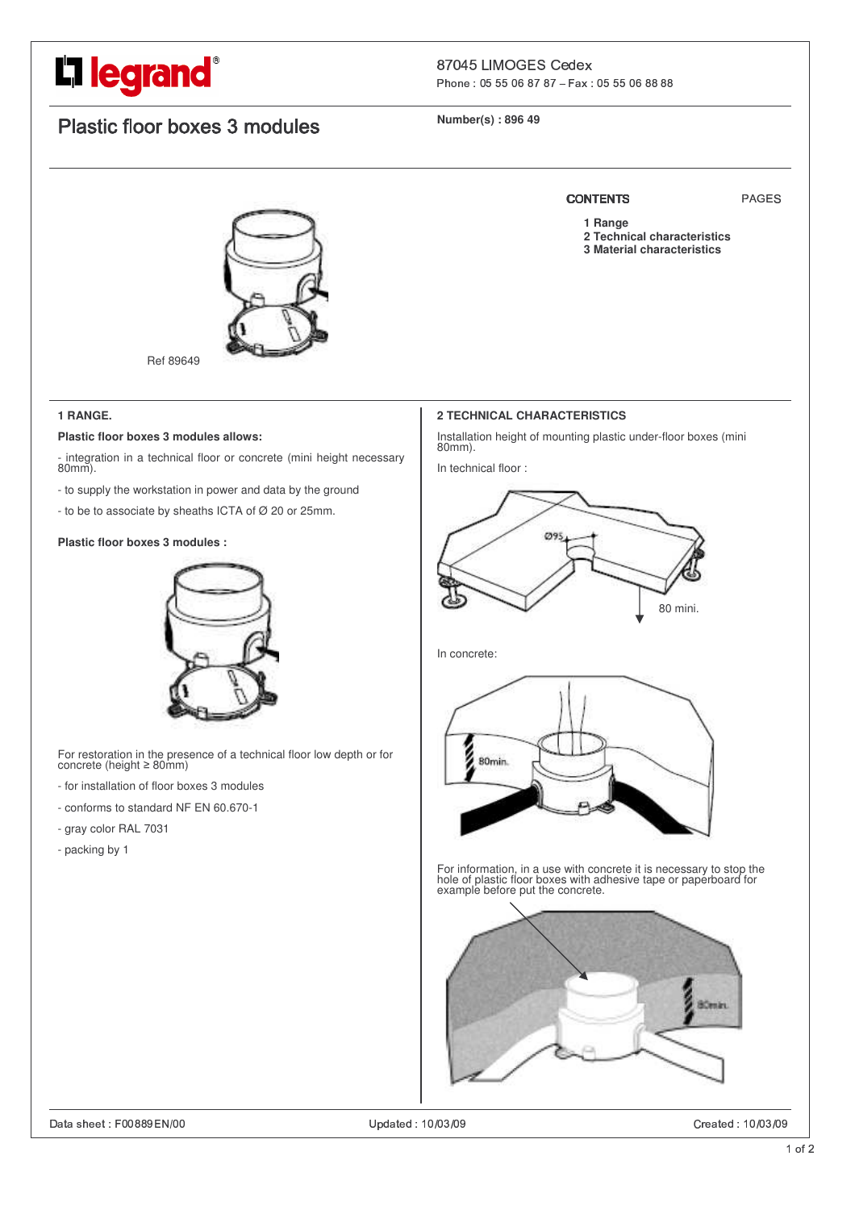# L**legrand**®

# Phone: 05 55 06 87 87 - Fax: 05 55 06 88 88

# Plastic floor boxes 3 modules

**Number(s) : 896 49**



Ref 89649

#### **1 RANGE.**

#### **Plastic floor boxes 3 modules allows:**

- integration in a technical floor or concrete (mini height necessary 80mm).

- to supply the workstation in power and data by the ground
- to be to associate by sheaths ICTA of Ø 20 or 25mm.

#### **Plastic floor boxes 3 modules :**



For restoration in the presence of a technical floor low depth or for<br>concrete (height ≥ 80mm)

- for installation of floor boxes 3 modules
- conforms to standard NF EN 60.670-1
- gray color RAL 7031
- packing by 1

# **2 TECHNICAL CHARACTERISTICS**

Installation height of mounting plastic under-floor boxes (mini 80mm).

In technical floor :



In concrete:



For information, in a use with concrete it is necessary to stop the hole of plastic floor boxes with adhesive tape or paperboard for example before put the concrete.



Created: 10/03/09

# CONTENTS PAGES

- 
- **1 Range**
- **2 Technical characteristics 3 Material characteristics**